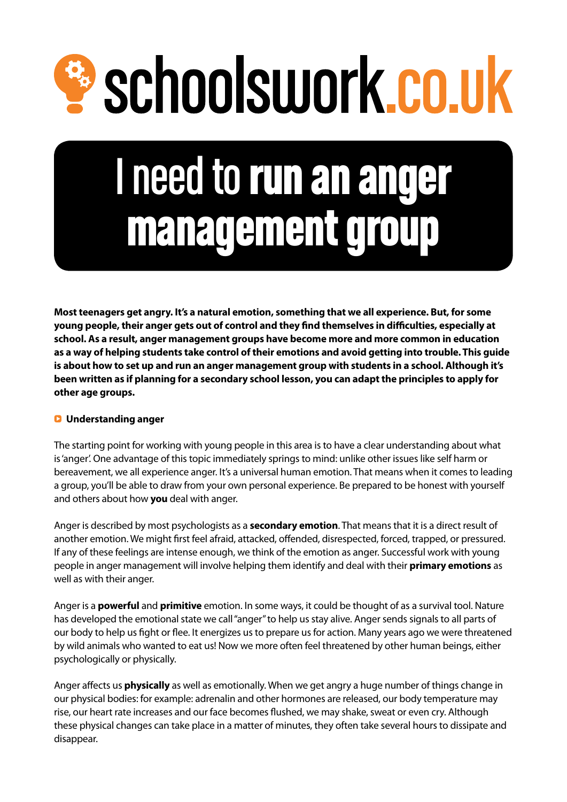# <sup>2</sup> schoolswork.co.uk

# I need to run an anger management group

**Most teenagers get angry. It's a natural emotion, something that we all experience. But, for some young people, their anger gets out of control and they find themselves in difficulties, especially at school. As a result, anger management groups have become more and more common in education as a way of helping students take control of their emotions and avoid getting into trouble. This guide is about how to set up and run an anger management group with students in a school. Although it's been written as if planning for a secondary school lesson, you can adapt the principles to apply for other age groups.**

# Q **Understanding anger**

The starting point for working with young people in this area is to have a clear understanding about what is 'anger'. One advantage of this topic immediately springs to mind: unlike other issues like self harm or bereavement, we all experience anger. It's a universal human emotion. That means when it comes to leading a group, you'll be able to draw from your own personal experience. Be prepared to be honest with yourself and others about how **you** deal with anger.

Anger is described by most psychologists as a **secondary emotion**. That means that it is a direct result of another emotion. We might first feel afraid, attacked, offended, disrespected, forced, trapped, or pressured. If any of these feelings are intense enough, we think of the emotion as anger. Successful work with young people in anger management will involve helping them identify and deal with their **primary emotions** as well as with their anger.

Anger is a **powerful** and **primitive** emotion. In some ways, it could be thought of as a survival tool. Nature has developed the emotional state we call "anger" to help us stay alive. Anger sends signals to all parts of our body to help us fight or flee. It energizes us to prepare us for action. Many years ago we were threatened by wild animals who wanted to eat us! Now we more often feel threatened by other human beings, either psychologically or physically.

Anger affects us **physically** as well as emotionally. When we get angry a huge number of things change in our physical bodies: for example: adrenalin and other hormones are released, our body temperature may rise, our heart rate increases and our face becomes flushed, we may shake, sweat or even cry. Although these physical changes can take place in a matter of minutes, they often take several hours to dissipate and disappear.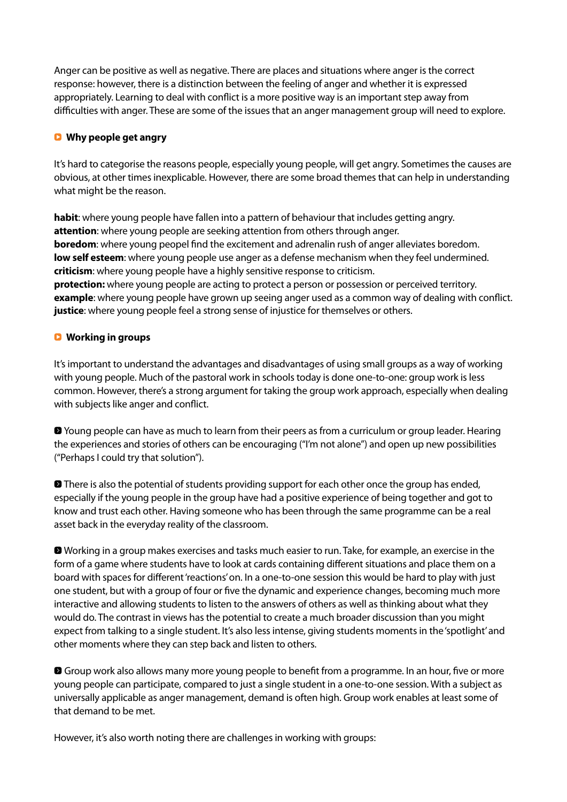Anger can be positive as well as negative. There are places and situations where anger is the correct response: however, there is a distinction between the feeling of anger and whether it is expressed appropriately. Learning to deal with conflict is a more positive way is an important step away from difficulties with anger. These are some of the issues that an anger management group will need to explore.

# Q **Why people get angry**

It's hard to categorise the reasons people, especially young people, will get angry. Sometimes the causes are obvious, at other times inexplicable. However, there are some broad themes that can help in understanding what might be the reason.

**habit**: where young people have fallen into a pattern of behaviour that includes getting angry. **attention**: where young people are seeking attention from others through anger. **boredom**: where young peopel find the excitement and adrenalin rush of anger alleviates boredom. **low self esteem**: where young people use anger as a defense mechanism when they feel undermined. **criticism**: where young people have a highly sensitive response to criticism. **protection:** where young people are acting to protect a person or possession or perceived territory. **example**: where young people have grown up seeing anger used as a common way of dealing with conflict. **justice**: where young people feel a strong sense of injustice for themselves or others.

# Q **Working in groups**

It's important to understand the advantages and disadvantages of using small groups as a way of working with young people. Much of the pastoral work in schools today is done one-to-one: group work is less common. However, there's a strong argument for taking the group work approach, especially when dealing with subjects like anger and conflict.

0 Young people can have as much to learn from their peers as from a curriculum or group leader. Hearing the experiences and stories of others can be encouraging ("I'm not alone") and open up new possibilities ("Perhaps I could try that solution").

**• There is also the potential of students providing support for each other once the group has ended,** especially if the young people in the group have had a positive experience of being together and got to know and trust each other. Having someone who has been through the same programme can be a real asset back in the everyday reality of the classroom.

0 Working in a group makes exercises and tasks much easier to run. Take, for example, an exercise in the form of a game where students have to look at cards containing different situations and place them on a board with spaces for different 'reactions' on. In a one-to-one session this would be hard to play with just one student, but with a group of four or five the dynamic and experience changes, becoming much more interactive and allowing students to listen to the answers of others as well as thinking about what they would do. The contrast in views has the potential to create a much broader discussion than you might expect from talking to a single student. It's also less intense, giving students moments in the 'spotlight' and other moments where they can step back and listen to others.

**O** Group work also allows many more young people to benefit from a programme. In an hour, five or more young people can participate, compared to just a single student in a one-to-one session. With a subject as universally applicable as anger management, demand is often high. Group work enables at least some of that demand to be met.

However, it's also worth noting there are challenges in working with groups: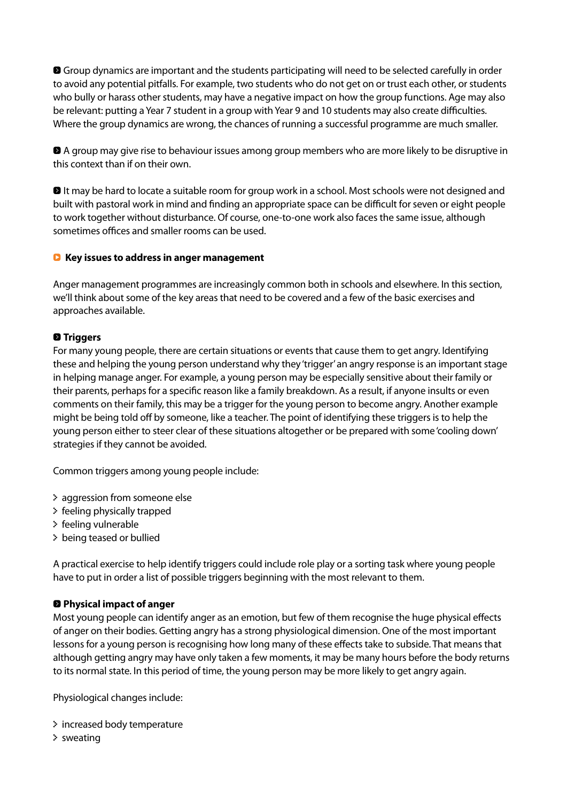**O** Group dynamics are important and the students participating will need to be selected carefully in order to avoid any potential pitfalls. For example, two students who do not get on or trust each other, or students who bully or harass other students, may have a negative impact on how the group functions. Age may also be relevant: putting a Year 7 student in a group with Year 9 and 10 students may also create difficulties. Where the group dynamics are wrong, the chances of running a successful programme are much smaller.

0 A group may give rise to behaviour issues among group members who are more likely to be disruptive in this context than if on their own.

**D** It may be hard to locate a suitable room for group work in a school. Most schools were not designed and built with pastoral work in mind and finding an appropriate space can be difficult for seven or eight people to work together without disturbance. Of course, one-to-one work also faces the same issue, although sometimes offices and smaller rooms can be used.

# Q **Key issues to address in anger management**

Anger management programmes are increasingly common both in schools and elsewhere. In this section, we'll think about some of the key areas that need to be covered and a few of the basic exercises and approaches available.

# 0 **Triggers**

For many young people, there are certain situations or events that cause them to get angry. Identifying these and helping the young person understand why they 'trigger' an angry response is an important stage in helping manage anger. For example, a young person may be especially sensitive about their family or their parents, perhaps for a specific reason like a family breakdown. As a result, if anyone insults or even comments on their family, this may be a trigger for the young person to become angry. Another example might be being told off by someone, like a teacher. The point of identifying these triggers is to help the young person either to steer clear of these situations altogether or be prepared with some 'cooling down' strategies if they cannot be avoided.

Common triggers among young people include:

- 0 aggression from someone else
- 0 feeling physically trapped
- 0 feeling vulnerable
- 0 being teased or bullied

A practical exercise to help identify triggers could include role play or a sorting task where young people have to put in order a list of possible triggers beginning with the most relevant to them.

# 0 **Physical impact of anger**

Most young people can identify anger as an emotion, but few of them recognise the huge physical effects of anger on their bodies. Getting angry has a strong physiological dimension. One of the most important lessons for a young person is recognising how long many of these effects take to subside. That means that although getting angry may have only taken a few moments, it may be many hours before the body returns to its normal state. In this period of time, the young person may be more likely to get angry again.

Physiological changes include:

- 0 increased body temperature
- $\geq$  sweating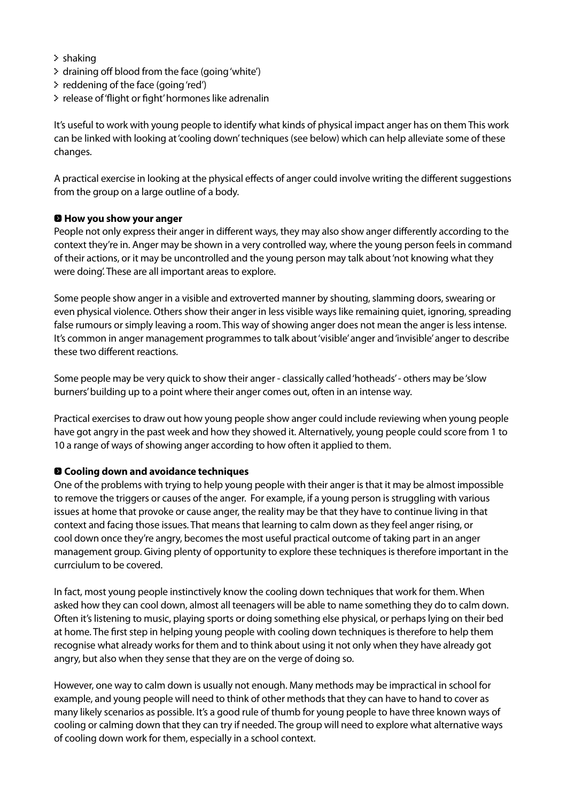- $\geq$  shaking
- 0 draining off blood from the face (going 'white')
- 0 reddening of the face (going 'red')
- > release of 'flight or fight' hormones like adrenalin

It's useful to work with young people to identify what kinds of physical impact anger has on them This work can be linked with looking at 'cooling down' techniques (see below) which can help alleviate some of these changes.

A practical exercise in looking at the physical effects of anger could involve writing the different suggestions from the group on a large outline of a body.

#### 0 **How you show your anger**

People not only express their anger in different ways, they may also show anger differently according to the context they're in. Anger may be shown in a very controlled way, where the young person feels in command of their actions, or it may be uncontrolled and the young person may talk about 'not knowing what they were doing'. These are all important areas to explore.

Some people show anger in a visible and extroverted manner by shouting, slamming doors, swearing or even physical violence. Others show their anger in less visible ways like remaining quiet, ignoring, spreading false rumours or simply leaving a room. This way of showing anger does not mean the anger is less intense. It's common in anger management programmes to talk about 'visible' anger and 'invisible' anger to describe these two different reactions.

Some people may be very quick to show their anger - classically called 'hotheads' - others may be 'slow burners' building up to a point where their anger comes out, often in an intense way.

Practical exercises to draw out how young people show anger could include reviewing when young people have got angry in the past week and how they showed it. Alternatively, young people could score from 1 to 10 a range of ways of showing anger according to how often it applied to them.

#### 0 **Cooling down and avoidance techniques**

One of the problems with trying to help young people with their anger is that it may be almost impossible to remove the triggers or causes of the anger. For example, if a young person is struggling with various issues at home that provoke or cause anger, the reality may be that they have to continue living in that context and facing those issues. That means that learning to calm down as they feel anger rising, or cool down once they're angry, becomes the most useful practical outcome of taking part in an anger management group. Giving plenty of opportunity to explore these techniques is therefore important in the currciulum to be covered.

In fact, most young people instinctively know the cooling down techniques that work for them. When asked how they can cool down, almost all teenagers will be able to name something they do to calm down. Often it's listening to music, playing sports or doing something else physical, or perhaps lying on their bed at home. The first step in helping young people with cooling down techniques is therefore to help them recognise what already works for them and to think about using it not only when they have already got angry, but also when they sense that they are on the verge of doing so.

However, one way to calm down is usually not enough. Many methods may be impractical in school for example, and young people will need to think of other methods that they can have to hand to cover as many likely scenarios as possible. It's a good rule of thumb for young people to have three known ways of cooling or calming down that they can try if needed. The group will need to explore what alternative ways of cooling down work for them, especially in a school context.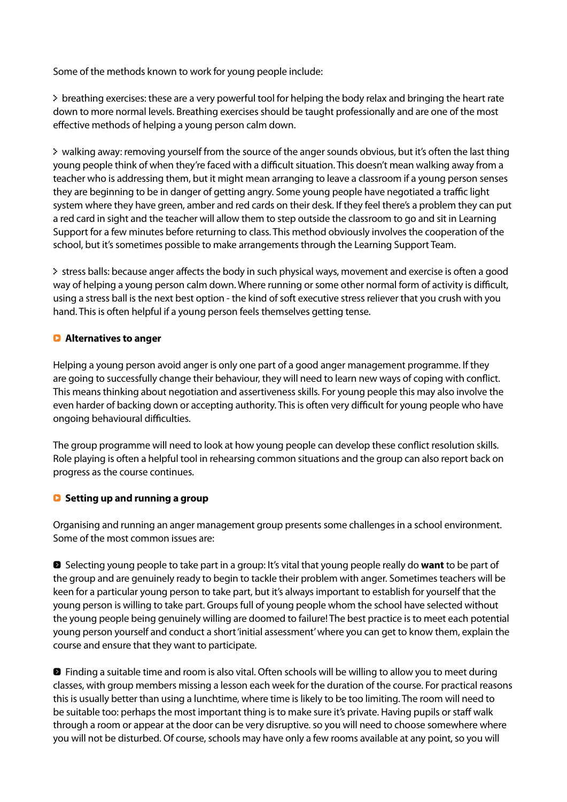Some of the methods known to work for young people include:

0 breathing exercises: these are a very powerful tool for helping the body relax and bringing the heart rate down to more normal levels. Breathing exercises should be taught professionally and are one of the most effective methods of helping a young person calm down.

0 walking away: removing yourself from the source of the anger sounds obvious, but it's often the last thing young people think of when they're faced with a difficult situation. This doesn't mean walking away from a teacher who is addressing them, but it might mean arranging to leave a classroom if a young person senses they are beginning to be in danger of getting angry. Some young people have negotiated a traffic light system where they have green, amber and red cards on their desk. If they feel there's a problem they can put a red card in sight and the teacher will allow them to step outside the classroom to go and sit in Learning Support for a few minutes before returning to class. This method obviously involves the cooperation of the school, but it's sometimes possible to make arrangements through the Learning Support Team.

0 stress balls: because anger affects the body in such physical ways, movement and exercise is often a good way of helping a young person calm down. Where running or some other normal form of activity is difficult, using a stress ball is the next best option - the kind of soft executive stress reliever that you crush with you hand. This is often helpful if a young person feels themselves getting tense.

# Q **Alternatives to anger**

Helping a young person avoid anger is only one part of a good anger management programme. If they are going to successfully change their behaviour, they will need to learn new ways of coping with conflict. This means thinking about negotiation and assertiveness skills. For young people this may also involve the even harder of backing down or accepting authority. This is often very difficult for young people who have ongoing behavioural difficulties.

The group programme will need to look at how young people can develop these conflict resolution skills. Role playing is often a helpful tool in rehearsing common situations and the group can also report back on progress as the course continues.

# Q **Setting up and running a group**

Organising and running an anger management group presents some challenges in a school environment. Some of the most common issues are:

0 Selecting young people to take part in a group: It's vital that young people really do **want** to be part of the group and are genuinely ready to begin to tackle their problem with anger. Sometimes teachers will be keen for a particular young person to take part, but it's always important to establish for yourself that the young person is willing to take part. Groups full of young people whom the school have selected without the young people being genuinely willing are doomed to failure! The best practice is to meet each potential young person yourself and conduct a short 'initial assessment' where you can get to know them, explain the course and ensure that they want to participate.

**D** Finding a suitable time and room is also vital. Often schools will be willing to allow you to meet during classes, with group members missing a lesson each week for the duration of the course. For practical reasons this is usually better than using a lunchtime, where time is likely to be too limiting. The room will need to be suitable too: perhaps the most important thing is to make sure it's private. Having pupils or staff walk through a room or appear at the door can be very disruptive. so you will need to choose somewhere where you will not be disturbed. Of course, schools may have only a few rooms available at any point, so you will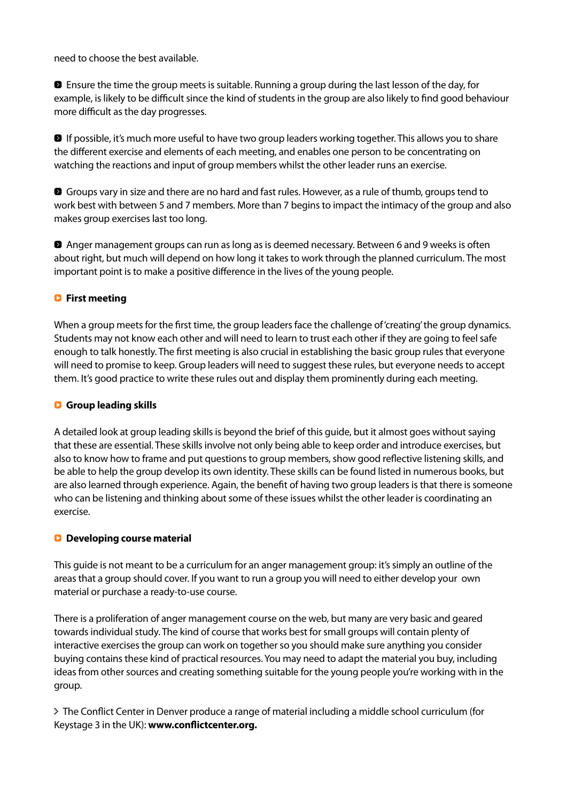need to choose the best available.

0 Ensure the time the group meets is suitable. Running a group during the last lesson of the day, for example, is likely to be difficult since the kind of students in the group are also likely to find good behaviour more difficult as the day progresses.

**D** If possible, it's much more useful to have two group leaders working together. This allows you to share the different exercise and elements of each meeting, and enables one person to be concentrating on watching the reactions and input of group members whilst the other leader runs an exercise.

**8** Groups vary in size and there are no hard and fast rules. However, as a rule of thumb, groups tend to work best with between 5 and 7 members. More than 7 begins to impact the intimacy of the group and also makes group exercises last too long.

0 Anger management groups can run as long as is deemed necessary. Between 6 and 9 weeks is often about right, but much will depend on how long it takes to work through the planned curriculum. The most important point is to make a positive difference in the lives of the young people.

# Q **First meeting**

When a group meets for the first time, the group leaders face the challenge of 'creating' the group dynamics. Students may not know each other and will need to learn to trust each other if they are going to feel safe enough to talk honestly. The first meeting is also crucial in establishing the basic group rules that everyone will need to promise to keep. Group leaders will need to suggest these rules, but everyone needs to accept them. It's good practice to write these rules out and display them prominently during each meeting.

#### Q **Group leading skills**

A detailed look at group leading skills is beyond the brief of this guide, but it almost goes without saying that these are essential. These skills involve not only being able to keep order and introduce exercises, but also to know how to frame and put questions to group members, show good reflective listening skills, and be able to help the group develop its own identity. These skills can be found listed in numerous books, but are also learned through experience. Again, the benefit of having two group leaders is that there is someone who can be listening and thinking about some of these issues whilst the other leader is coordinating an exercise.

#### Q **Developing course material**

This guide is not meant to be a curriculum for an anger management group: it's simply an outline of the areas that a group should cover. If you want to run a group you will need to either develop your own material or purchase a ready-to-use course.

There is a proliferation of anger management course on the web, but many are very basic and geared towards individual study. The kind of course that works best for small groups will contain plenty of interactive exercises the group can work on together so you should make sure anything you consider buying contains these kind of practical resources. You may need to adapt the material you buy, including ideas from other sources and creating something suitable for the young people you're working with in the group.

0 The Conflict Center in Denver produce a range of material including a middle school curriculum (for Keystage 3 in the UK): **www.conflictcenter.org.**